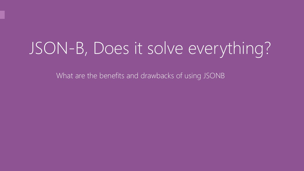# JSON-B, Does it solve everything?

What are the benefits and drawbacks of using JSONB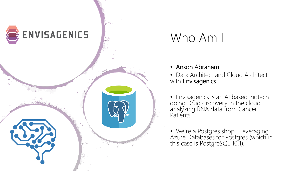

## Who Am I

- Anson Abraham
- Data Architect and Cloud Architect with Envisagenics.
- Envisagenics is an AI based Biotech doing Drug discovery in the cloud analyzing RNA data from Cancer Patients.
- We're a Postgres shop. Leveraging Azure Databases for Postgres (which in this case is PostgreSQL 10.1).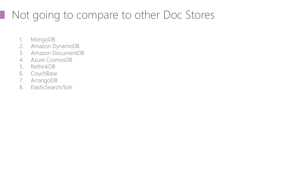## Not going to compare to other Doc Stores

- 1. MongoDB
- 2. Amazon DynamoDB
- 3. Amazon DocumentDB
- 4. Azure CosmosDB
- 5. RethinkDB
- 6. CouchBase
- 7. ArrangoDB
- 8. ElasticSearch/Solr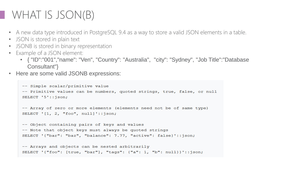### WHAT IS JSON(B)

- A new data type introduced in PostgreSQL 9.4 as a way to store a valid JSON elements in a table.
- JSON is stored in plain text
- JSONB is stored in binary representation
- Example of a JSON element:
	- { "ID":"001", "name": "Ven", "Country": "Australia", "city": "Sydney", "Job Title":"Database Consultant"}
- Here are some valid JSONB expressions:

```
-- Simple scalar/primitive value
-- Primitive values can be numbers, quoted strings, true, false, or null
SELECT '5'::json;
-- Array of zero or more elements (elements need not be of same type)
SELECT '[1, 2, "foo", null]'::json;
-- Object containing pairs of keys and values
-- Note that object keys must always be quoted strings
SELECT '{"bar": "baz", "balance": 7.77, "active": false}'::json;
-- Arrays and objects can be nested arbitrarily
```
SELECT '{"foo": [true, "bar"], "tags": {"a": 1, "b": null}}'::json;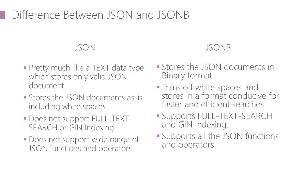### Difference Between JSON and JSONB

#### JSON

- **Pretty much like a TEXT data type** which stores only valid JSON document.
- Stores the JSON documents as-is including white spaces.
- Does not support FULL-TEXT-SEARCH or GIN Indexing
- **Does not support wide range of** JSON functions and operators

#### JSONB

- **Example 3 Stores the JSON documents in** Binary format.
- **Trims off white spaces and** stores in a format conducive for faster and efficient searches
- Supports FULL-TEXT-SEARCH and GIN Indexing.
- **Example 15 Supports all the JSON functions** and operators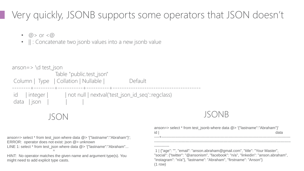#### Very quickly, JSONB supports some operators that JSON doesn't

 $(1$  row)

- $\omega >$  or  $\langle \omega \rangle$
- $\parallel$  : Concatenate two jsonb values into a new jsonb value

```
JSON JSONB
anson=> select * from test_json where data @> '{"lastname":"Abraham"}';
ERROR: operator does not exist: json @> unknown
LINE 1: select * from test json where data @> '{"lastname":"Abraham"...
                         \wedgeHINT: No operator matches the given name and argument type(s). You 
might need to add explicit type casts.
                                                                                 anson=> select * from test_jsonb where data @> '{"lastname":"Abraham"}'
                                                                                 id | data | data | data | data | data | data | data | data | data | data | data | data | data | data | data |
                                                                                 ----+------------------------------------------------------------------------------------------------------
                                                                                 ------------------------------------------------------------------------------------------------------------
                                                                                 ------------
                                                                                 1 | {"age": "", "email": "anson.abraham@gmail.com", "title": "Your Master", 
                                                                                 "social": {"twitter": "@ansonism", "facebook": "n/a", "linkedin": "anson.abraham", 
                                                                                 "instagram": "n/a"}, "lastname": "Abraham", "firstname": "Anson"}
  anson=> \daggerd test json
                          Table "public.test_json"
   Column | Type | Collation | Nullable | Default
              --------+---------+-----------+----------+---------------------------------------
   id | integer | | | | not null | nextval('test_json_id_seq'::regclass)
   data | ison
```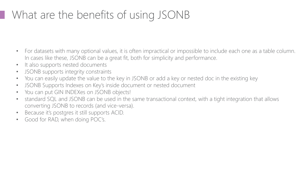## What are the benefits of using JSONB

- For datasets with many optional values, it is often impractical or impossible to include each one as a table column. In cases like these, JSONB can be a great fit, both for simplicity and performance.
- It also supports nested documents
- JSONB supports integrity constraints
- You can easily update the value to the key in JSONB or add a key or nested doc in the existing key
- JSONB Supports Indexes on Key's inside document or nested document
- You can put GIN INDEXes on JSONB objects!
- standard SQL and JSONB can be used in the same transactional context, with a tight integration that allows converting JSONB to records (and vice-versa).
- Because it's postgres it still supports ACID.
- Good for RAD, when doing POC's.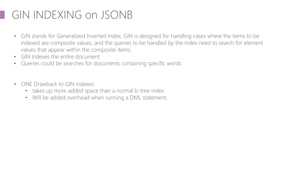### GIN INDEXING on JSONB

- GIN stands for Generalized Inverted Index. GIN is designed for handling cases where the items to be indexed are composite values, and the queries to be handled by the index need to search for element values that appear within the composite items.
- GIN Indexes the entire document
- Queries could be searches for documents containing specific words.
- ONE Drawback to GIN indexes:
	- takes up more added space than a normal b-tree index.
	- Will be added overhead when running a DML statement.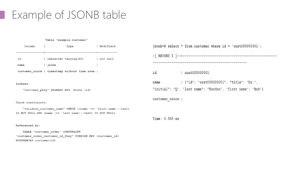#### Example of JSONB table

#### Table "example.customer"

| Column | Type                                         | Modifiers  |
|--------|----------------------------------------------|------------|
|        |                                              |            |
| id     | character varying (40)                       | l not null |
| name   | jsonb                                        |            |
|        | customer since   timestamp without time zone |            |

#### Indexes:

"customer pkey" PRIMARY KEY, btree (id)

#### Check constraints:

"validate customer name" CHECK ((name ->> 'first name'::text) IS NOT NULL AND (name ->> 'last name'::text) IS NOT NULL)

#### Referenced by:

TABLE "customer order" CONSTRAINT "customer\_order\_customer\_id\_fkey" FOREIGN KEY (customer\_id) REFERENCES customer(id)

|                | $jsonb=\#$ select * from customer where id = 'cust000000001'; |
|----------------|---------------------------------------------------------------|
|                |                                                               |
|                |                                                               |
| id             | $ $ cust000000001                                             |
| name           | {"id": "cust000000001", "title": "Dr.",                       |
|                | "initial": "Q", "last name": "Kordon", "first name": "Bob"}   |
| customer since |                                                               |

Time: 0.569 ms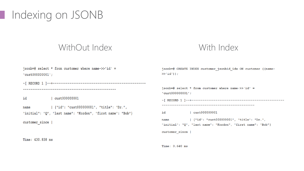### Indexing on JSONB

#### WithOut Index With Index

| jsonb=# select * from customer where name- $>> 'id' =$<br>"cut000000001"; | jsonb=# CREATE INDEX customer jsonbid idx ON customer ((name-<br>$>>' id')$ ;                                  |  |  |  |
|---------------------------------------------------------------------------|----------------------------------------------------------------------------------------------------------------|--|--|--|
|                                                                           | $jsonb=\#$ select * from customer where name->>'id' =<br>$'$ cust000000001';                                   |  |  |  |
| id<br>cust000000001                                                       |                                                                                                                |  |  |  |
| {"id": "cust000000001", "title": "Dr.",<br>name                           |                                                                                                                |  |  |  |
| "initial": "Q", "last name": "Kordon", "first name": "Bob"}               | id<br>cust000000001                                                                                            |  |  |  |
| customer since                                                            | {"id": "cust000000001", "title": "Dr.",<br>name<br>"initial": "Q", "last name": "Kordon", "first name": "Bob"} |  |  |  |
|                                                                           | customer since                                                                                                 |  |  |  |
| Time: 430.838 ms                                                          |                                                                                                                |  |  |  |

Time: 0.640 ms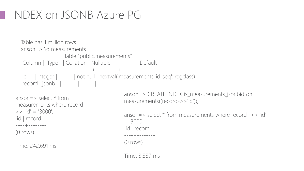### INDEX on JSONB Azure PG

```
anson=> select * from 
measurements where record -
\Rightarrow 'id' = '3000';
id | record
----+--------
(0 rows)
Time: 242.691 ms
                                            anson=> CREATE INDEX ix_measurements_jsonbid on 
                                            measurements((record->>'id'));
                                            anson=> select * from measurements where record ->> 'id' 
                                             = '3000';
                                             id | record
                                             ----+--------
                                            (0 rows)
                                            Time: 3.337 ms
  Table has 1 million rows
  anson=> \d measurements
                    Table "public.measurements"
  Column | Type | Collation | Nullable | Default
  --------+---------+-----------+----------+------------------------------------------
  id | integer | | | | not null | nextval('measurements_id_seq'::regclass)
  record | jsonb | | | | |
```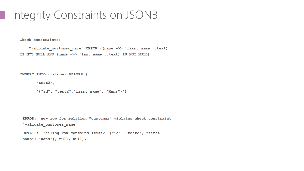#### Integrity Constraints on JSONB

Check constraints:

"validate customer name" CHECK ((name ->> 'first name':: text) IS NOT NULL AND (name ->> 'last name'::text) IS NOT NULL)

INSERT INTO customer VALUES (

'test2',

'{"id": "test2","first name": "Hans"}')

ERROR: new row for relation "customer" violates check constraint "validate\_customer\_name"

```
DETAIL: Failing row contains (test2, {"id": "test2", "first
name": "Hans"}, null, null).
```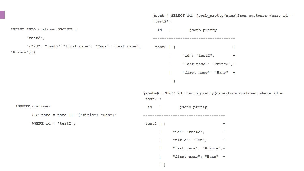jsonb=# SELECT id, jsonb pretty (name) from customer where id =  $'test2';$ INSERT INTO customer VALUES ( id | jsonb pretty  $'$ test $2'$ , -----------------------------'{"id": "test2", "first name": "Hans", "last name": test2  $| \{$  $+$ " $Prince"$ }') "id": "test2",  $+$ "last name": "Prince", + "first name": "Hans" +  $\vert \cdot \rangle$ jsonb=# SELECT id, jsonb pretty (name) from customer where id =  $'$ test $2'$ : **UPDATE** customer  $id \mid$ jsonb pretty SET name = name  $|| \cdot ||$  "{"title": "Hon"}' WHERE  $id = 'test2';$ test2  $| \{$  $+$ "id": "test2",  $+$  $\mathbf{L}$ "title": "Hon",  $+$  $\mathbf{L}$ "last name": "Prince", + "first name": "Hans" +

 $\vert \cdot \rangle$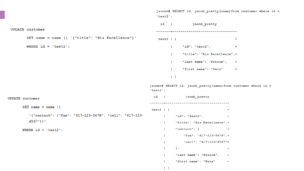jsonb=# SELECT id, jsonb pretty (name) from customer where id =  $'$ test $2'$ ;

id | jsonb pretty **UPDATE** customer SET name = name  $|| \cdot ||$  "{"title": "His Excellence"}' test2  $| \{$  $+$ WHERE  $id = 'test2';$ "id": "test2",  $\mathbf{L}$  $+$ "title": "His Excellence",+  $\mathbf{L}$ "last name": "Prince", + "first name": "Hans"  $+$  $\vert \cdot \rangle$ jsonb=# SELECT id, jsonb pretty (name) from customer where id =  $'$ test $2'$ ; id | jsonb pretty **UPDATE** customer SET name = name  $||$ test2  $| \{$  $+$ '{"contact": {"fax": "617-123-5678", "cell": "617-123- $\blacksquare$   $\blacksquare$   $\blacksquare$   $\blacksquare$   $\blacksquare$   $\blacksquare$   $\blacksquare$   $\blacksquare$   $\blacksquare$   $\blacksquare$   $\blacksquare$   $\blacksquare$   $\blacksquare$   $\blacksquare$   $\blacksquare$  $+$  $4567"$ } } ' "title": "His Excellence",+  $\mathbf{L}$  $"contact":$  {  $+$ WHERE  $id = 'test2';$ "fax": "617-123-5678",+ "cell": "617-123-4567"+  $\mathcal{F}$  $\mathbf{I}$  $+$ "last name": "Prince",  $+$  $\mathbf{I}$ "first name": "Hans"  $\mathbf{I}$  $+$ 

 $\vert \vert$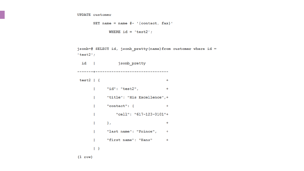```
SET name = name #- '{contact, \text{fax}}'
       WHERE id = 'test2';
```

```
jsonb=# SELECT id, jsonb pretty (name) from customer where id =
'test2';
```

```
id | jsonb pretty
test2 | \{+"id": "test2",
      \mathbf{L}\sim +"title": "His Excellence",+
      \mathbb{R}^n"contact": { +\mathbf{L}"cell": "617-123-0101"+
      \mathbf{L}\mathbb{F}_l+"last name": "Prince", +
      \mathbf{L}"first name": "Hans" +
      \mathbf{L}\vert \cdot \rangle
```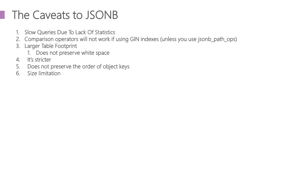## The Caveats to JSONB

- 1. Slow Queries Due To Lack Of Statistics
- 2. Comparison operators will not work if using GIN indexes (unless you use jsonb\_path\_ops)
- 3. Larger Table Footprint
	- 1. Does not preserve white space
- 4. It's stricter
- 5. Does not preserve the order of object keys
- 6. Size limitation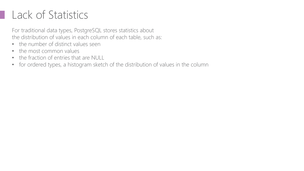### Lack of Statistics

For traditional data types, PostgreSQL stores statistics about the distribution of values in each column of each table, such as:

- the number of distinct values seen
- the most common values
- the fraction of entries that are NULL
- for ordered types, a histogram sketch of the distribution of values in the column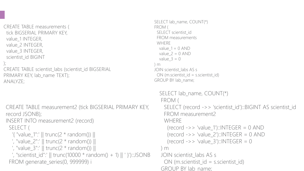```
CREATE TABLE measurements (
 tick BIGSERIAL PRIMARY KEY,
 value 1 INTEGER,
 value 2 INTEGER,
 value_3 INTEGER,
 scientist id BIGINT
);
CREATE TABLE scientist labs (scientist id BIGSERIAL
PRIMARY KEY, lab_name TEXT);
ANALYZE;
 CREATE TABLE measurement2 (tick BIGSERIAL PRIMARY KEY, 
 record JSONB);
 INSERT INTO measurement2 (record)
  SELECT (
   '{ "value_1":' || trunc(2 * random()) ||
   ', "value_2":' || trunc(2 * random()) ||
   ', "value_3":' || trunc(2 * random()) ||
   ', "scientist_id":' || trunc(10000 * random() + 1) || ' }')::JSONB
  FROM generate series(0, 999999) i
```

```
SELECT lab_name, COUNT(*)
FROM (
 SELECT scientist_id
 FROM measurements
 WHERE
 value 1 = 0 AND
  value 2 = 0 AND
 value 3 = 0) m
JOIN scientist labs AS s
 ON (m.scientist id = s.scientist id)
GROUP BY lab_name;
  SELECT lab_name, COUNT(*)
  FROM (
    SELECT (record ->> 'scientist id')::BIGINT AS scientist id
    FROM measurement2
    WHERE
     (record \rightarrow > 'value 1'):INTEGR = 0 AND(record \rightarrow > 'value_2')::INTEGR = 0 AND(record \rightarrow > 'value_3')::INTEGR = 0) m
  JOIN scientist_labs AS s
    ON (m.scientist id = s.scientist id)
```

```
GROUP BY lab name;
```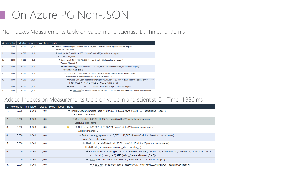#### **On Azure PG Non-JSON**

No Indexes Measurements table on value\_n and scientist ID: Time: 10.170 ms

| —#∣ | $exclusive \,  $ | ∣ <u>inclusive</u> ∣ <u>rows x</u> ∣ |                  | <b>rows</b> | loops | node                                                                                                          |
|-----|------------------|--------------------------------------|------------------|-------------|-------|---------------------------------------------------------------------------------------------------------------|
|     | 0.000            | 0.000                                | 0.0              |             |       | → Finalize GroupAggregate (cost=16,338.2016,338.28 rows=3 width=28) (actual rows= loops=)                     |
|     |                  |                                      |                  |             |       | Group Key: s.lab name                                                                                         |
| 2.  | 0.000            | 0.000                                | 10.0             |             |       | $\rightarrow$ Sort (cost=16,338.2016,338.22 rows=6 width=28) (actual rows= loops=)                            |
|     |                  |                                      |                  |             |       | Sort Key: s.lab name                                                                                          |
| 3.  | 0.000            | 0.000                                | $\downarrow$ 0.0 |             |       | $\rightarrow$ Gather (cost=16,337,50,.16,338,13 rows=6 width=28) (actual rows= loops=)                        |
|     |                  |                                      |                  |             |       | <b>Workers Planned: 2</b>                                                                                     |
| 4.  | 0.000            | 0.000                                | $\perp$ 0.0      |             |       | $\rightarrow$ Partial HashAggregate (cost=15,337.5015,337.53 rows=3 width=28) (actual rows= loops=)           |
|     |                  |                                      |                  |             |       | Group Key: s.lab name                                                                                         |
| 5.  | 0.000            | 0.000                                | $\perp$ 0.0      |             |       | $\rightarrow$ Hash Join (cost=296.0015,077.32 rows=52,036 width=20) (actual rows= loops=)                     |
|     |                  |                                      |                  |             |       | Hash Cond: (measurement scientist id = s scientist id)                                                        |
| 6.  | 0.000            | 0.000                                | $\perp$ 0.0      |             |       | $\rightarrow$ Parallel Seg Scan on measurement (cost=0.0014.644.67 rows=52.036 width=8) (actual rows= loops=) |
|     |                  |                                      |                  |             |       | Filter: ((value $1 = 0$ ) AND (value $2 = 0$ ) AND (value $3 = 0$ ))                                          |
| 7.  | 0.000            | 0.000                                | 10.0             |             |       | $\rightarrow$ Hash (cost=171.00171.00 rows=10,000 width=28) (actual rows= loops=)                             |
| 8.  | 0.000            | 0.000                                | 0.0              |             |       | $\rightarrow$ Seg Scan on scientist labs s (cost=0.00171.00 rows=10,000 width=28) (actual rows= loops=)       |

#### Added Indexes on Measurements table on value\_n and scientist ID: Time: 4.336 ms

| #  | $exclusive$ inclusive $rows$ rows $x$ rows |       |                  | loops | node                                                                                                                              |
|----|--------------------------------------------|-------|------------------|-------|-----------------------------------------------------------------------------------------------------------------------------------|
|    | 0.000                                      | 0.000 | $\perp$ 0.0      |       | $\rightarrow$ Finalize GroupAggregate (cost=11,387.8211,387.90 rows=3 width=28) (actual rows= loops=)                             |
|    |                                            |       |                  |       | Group Key: s.lab name                                                                                                             |
| 2. | 0.000                                      | 0.000 | 10.0             |       | $\rightarrow$ Sort (cost=11,387.8211,387.84 rows=6 width=28) (actual rows= loops=)                                                |
|    |                                            |       |                  |       | Sort Key: s.lab name                                                                                                              |
| 3. | 0.000                                      | 0.000 | $\downarrow$ 0.0 |       | $\rightarrow$ Gather (cost=11,387.1111,387.74 rows=6 width=28) (actual rows= loops=)                                              |
|    |                                            |       |                  |       | <b>Workers Planned: 2</b>                                                                                                         |
| 4. | 0.000                                      | 0.000 | $\downarrow$ 0.0 |       | → Partial HashAggregate (cost=10,387.1110,387.14 rows=3 width=28) (actual rows= loops=)                                           |
|    |                                            |       |                  |       | Group Key: s.lab name                                                                                                             |
| 5. | 0.000                                      | 0.000 | $\perp$ 0.0      |       | $\rightarrow$ Hash Join (cost=296.4310,126.06 rows=52,210 width=20) (actual rows= loops=)                                         |
|    |                                            |       |                  |       | Hash Cond: (measurement.scientist_id = s.scientist_id)                                                                            |
| 6. | 0.000                                      | 0.000 | $\downarrow$ 0.0 |       | $\rightarrow$ Parallel Index Scan using ix anson val on measurement (cost=0.429,692.94 rows=52,215 width=8) (actual rows= loops=) |
|    |                                            |       |                  |       | Index Cond: ((value $1 = 0$ ) AND (value $2 = 0$ ) AND (value $3 = 0$ ))                                                          |
| 7. | 0.000                                      | 0.000 | $\downarrow$ 0.0 |       | $\rightarrow$ Hash (cost=171.00171.00 rows=10,000 width=28) (actual rows= loops=)                                                 |
| 8. | 0.000                                      | 0.000 | $\downarrow$ 0.0 |       | $\rightarrow$ Seg Scan on scientist labs s (cost=0.00171.00 rows=10.000 width=28) (actual rows= loops=)                           |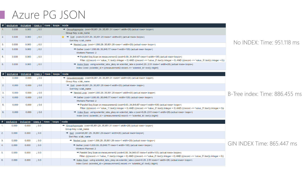#### Azure PG JSON

|       | $\mid \# \mid$ exclusive $\mid$ inclusive $\mid$ rows $\overline{x}$ $\mid$ rows $\mid$ |       |      | loops   node |                                                                                                                                                             |
|-------|-----------------------------------------------------------------------------------------|-------|------|--------------|-------------------------------------------------------------------------------------------------------------------------------------------------------------|
| $-1.$ | 0.000                                                                                   | 0.000 | 10.0 |              | $\rightarrow$ GroupAggregate (cost=35,851.2935,851.31 rows=1 width=28) (actual rows= loops=)                                                                |
|       |                                                                                         |       |      |              | Group Key: s.lab name                                                                                                                                       |
| 2.    | 0.000                                                                                   | 0.000 | 10.0 |              | $\rightarrow$ Sort (cost=35,851.2935,851.29 rows=1 width=20) (actual rows= loops=)                                                                          |
|       |                                                                                         |       |      |              | Sort Key: s.lab name                                                                                                                                        |
| 3.    | 0.000                                                                                   | 0.000 | 10.0 |              | $\rightarrow$ Nested Loop (cost=1,000.2935,851.28 rows=1 width=20) (actual rows= loops=)                                                                    |
| 4.    | 0.000                                                                                   | 0.000 | 10.0 |              | → Gather (cost=1,000.0035,848.77 rows=1 width=105) (actual rows= loops=)                                                                                    |
|       |                                                                                         |       |      |              | <b>Workers Planned: 2</b>                                                                                                                                   |
| 5.    | 0.000                                                                                   | 0.000 | 10.0 |              | $\rightarrow$ Parallel Seq Scan on measurement2 (cost=0.0034,848.67 rows=1 width=105) (actual rows= loops=)                                                 |
|       |                                                                                         |       |      |              | Filter: ((((record ->> 'value 1'::text))::integer = 0) AND (((record ->> 'value 2'::text))::integer = 0) AND (((record ->> 'value 3'::text))::integer = 0)) |
| 6.    | 0.000                                                                                   | 0.000 | 10.0 |              | $\rightarrow$ Index Scan using scientist labs pkey on scientist labs s (cost=0.292.51 rows=1 width=28) (actual rows= loops=)                                |
|       |                                                                                         |       |      |              | Index Cond: (scientist $id = ($ (measurement2.record ->> 'scientist $id':$ :text))::bigint)                                                                 |

|                | $\vert \# \vert$ exclusive $\vert$ inclusive $\vert$ rows x $\vert$ rows $\vert$ loops $\vert$ node |       |             |  |                                                                                                                                                             |
|----------------|-----------------------------------------------------------------------------------------------------|-------|-------------|--|-------------------------------------------------------------------------------------------------------------------------------------------------------------|
|                | 0.000                                                                                               | 0.000 | $\perp 0.0$ |  | $\rightarrow$ GroupAggregate (cost=35,851.2935,851.31 rows=1 width=28) (actual rows= loops=)                                                                |
|                |                                                                                                     |       |             |  | Group Key: s.lab name                                                                                                                                       |
| 2.             | 0.000                                                                                               | 0.000 | 10.0        |  | $\rightarrow$ Sort (cost=35,851,29,.35,851,29 rows=1 width=20) (actual rows= loops=)                                                                        |
|                |                                                                                                     |       |             |  | Sort Key: s.lab name                                                                                                                                        |
| 3.             | 0.000                                                                                               | 0.000 | $\perp$ 0.0 |  | $\rightarrow$ Nested Loop (cost=1,000.2935,851.28 rows=1 width=20) (actual rows= loops=)                                                                    |
| 4.             | 0.000                                                                                               | 0.000 | $\perp$ 0.0 |  | → Gather (cost=1,000.0035,848.77 rows=1 width=105) (actual rows= loops=)                                                                                    |
|                |                                                                                                     |       |             |  | <b>Workers Planned: 2</b>                                                                                                                                   |
| 5 <sub>1</sub> | 0.000                                                                                               | 0.000 | $\perp$ 0.0 |  | $\rightarrow$ Parallel Seg Scan on measurement2 (cost=0.0034,848.67 rows=1 width=105) (actual rows= loops=)                                                 |
|                |                                                                                                     |       |             |  | Filter: ((((record ->> 'value 1'::text))::integer = 0) AND (((record ->> 'value 2'::text))::integer = 0) AND (((record ->> 'value 3'::text))::integer = 0)) |
| 6.             | 0.000                                                                                               | 0.000 | 10.0        |  | $\rightarrow$ Index Scan using scientist labs pkey on scientist labs s (cost=0.292.51 rows=1 width=28) (actual rows= loops=)                                |
|                |                                                                                                     |       |             |  | Index Cond: (scientist $id = ($ (measurement2.record ->> 'scientist $id':$ :text))::biqint)                                                                 |

|    | #   exclusive   inclusive   rows x   rows   loops   node |       |                  |  |                                                                                                                                                         |
|----|----------------------------------------------------------|-------|------------------|--|---------------------------------------------------------------------------------------------------------------------------------------------------------|
|    | 0.000                                                    | 0.000 | $1\,0.0$         |  | $\rightarrow$ GroupAggregate (cost=35,851.2935,851.31 rows=1 width=28) (actual rows= loops=)                                                            |
|    |                                                          |       |                  |  | Group Key: s.lab name                                                                                                                                   |
| 2. | 0.000                                                    | 0.000 | $\perp 0.0$      |  | $\rightarrow$ Sort (cost=35,851.2935,851.29 rows=1 width=20) (actual rows= loops=)                                                                      |
|    |                                                          |       |                  |  | Sort Key: s.lab name                                                                                                                                    |
| 3. | 0.000                                                    | 0.000 | $\perp$ 0.0      |  | $\rightarrow$ Nested Loop (cost=1,000.2935,851.28 rows=1 width=20) (actual rows= loops=)                                                                |
| 4. | 0.000                                                    | 0.000 | $0.0\;$          |  | → Gather (cost=1,000.0035,848.77 rows=1 width=105) (actual rows= loops=)                                                                                |
|    |                                                          |       |                  |  | Workers Planned: 2                                                                                                                                      |
| 5. | 0.000                                                    | 0.000 | $\mathsf{L}$ 0.0 |  | $\rightarrow$ Parallel Seg Scan on measurement2 (cost=0.0034,848.67 rows=1 width=105) (actual rows= loops=)                                             |
|    |                                                          |       |                  |  | Filter: ((((record ->> 'value 1'::text)):integer = 0) AND (((record ->> 'value 2'::text)):integer = 0) AND (((record ->> 'value 3'::text))::integer = 0 |
| 6. | 0.000                                                    | 0.000 | $\perp$ 0.0      |  | $\rightarrow$ Index Scan using scientist labs pkey on scientist labs s (cost=0.292.51 rows=1 width=28) (actual rows= loops=)                            |
|    |                                                          |       |                  |  | Index Cond: (scientist $id = ((measurement2 record \rightarrow > 'scientist id'::text))::bigint)$                                                       |

#### No INDEX: Time: 951.118 ms

#### B-Tree index: Time: 886.455 ms

#### GIN INDEX Time: 865.447 ms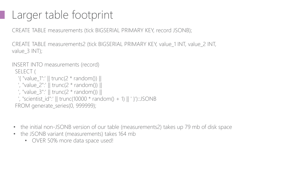### Larger table footprint

CREATE TABLE measurements (tick BIGSERIAL PRIMARY KEY, record JSONB);

CREATE TABLE measurements2 (tick BIGSERIAL PRIMARY KEY, value\_1 INT, value\_2 INT, value 3 INT);

#### INSERT INTO measurements (record)

SELECT (

```
'{ "value 1":' || trunc(2 * random()) ||
 ', "value_2":' || trunc(2 * random()) ||
 ', "value_3":' || trunc(2 * random()) ||
 ', "scientist_id":' || trunc(10000 * random() + 1) || ' }')::JSONB
FROM generate_series(0, 999999);
```
- the initial non-JSONB version of our table (measurements2) takes up 79 mb of disk space
- the JSONB variant (measurements) takes 164 mb
	- OVER 50% more data space used!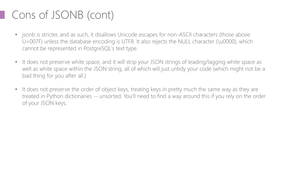### Cons of JSONB (cont)

- jsonb is stricter, and as such, it disallows Unicode escapes for non-ASCII characters (those above U+007F) unless the database encoding is UTF8. It also rejects the NULL character (\u0000), which cannot be represented in PostgreSQL's text type.
- It does not preserve white space, and it will strip your JSON strings of leading/lagging white space as well as white space within the JSON string, all of which will just untidy your code (which might not be a bad thing for you after all.)
- It does not preserve the order of object keys, treating keys in pretty much the same way as they are treated in Python dictionaries -- unsorted. You'll need to find a way around this if you rely on the order of your JSON keys.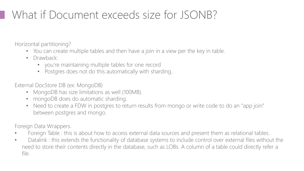## What if Document exceeds size for JSONB?

Horizontal partitioning?

- You can create multiple tables and then have a join in a view per the key in table.
- Drawback:
	- you're maintaining multiple tables for one record
	- Postgres does not do this automatically with sharding.

External DocStore DB (ex: MongoDB)

- MongoDB has size limitations as well (100MB).
- mongoDB does do automatic sharding.
- Need to create a FDW in postgres to return results from mongo or write code to do an "app join" between postgres and mongo.

Foreign Data Wrappers.

- Foreign Table : this is about how to access external data sources and present them as relational tables.
- Datalink : this extends the functionality of database systems to include control over external files without the need to store their contents directly in the database, such as LOBs. A column of a table could directly refer a file.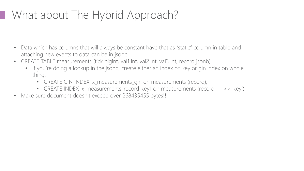## What about The Hybrid Approach?

- Data which has columns that will always be constant have that as "static" column in table and attaching new events to data can be in jsonb.
- CREATE TABLE measurements (tick bigint, val1 int, val2 int, val3 int, record jsonb).
	- If you're doing a lookup in the jsonb, create either an index on key or gin index on whole thing.
		- CREATE GIN INDEX ix\_measurements\_gin on measurements (record);
		- CREATE INDEX ix\_measurements\_record\_key1 on measurements (record - >> 'key');
- Make sure document doesn't exceed over 268435455 bytes!!!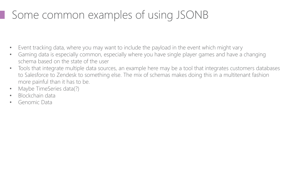## Some common examples of using JSONB

- Event tracking data, where you may want to include the payload in the event which might vary
- Gaming data is especially common, especially where you have single player games and have a changing schema based on the state of the user
- Tools that integrate multiple data sources, an example here may be a tool that integrates customers databases to Salesforce to Zendesk to something else. The mix of schemas makes doing this in a multitenant fashion more painful than it has to be.
- Maybe TimeSeries data(?)
- Blockchain data
- Genomic Data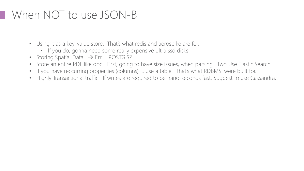#### When NOT to use JSON-B

- Using it as a key-value store. That's what redis and aerospike are for.
	- If you do, gonna need some really expensive ultra ssd disks.
- Storing Spatial Data.  $\rightarrow$  Err ... POSTGIS?
- Store an entire PDF like doc. First, going to have size issues, when parsing. Two Use Elastic Search
- If you have reccurring properties (columns) … use a table. That's what RDBMS' were built for.
- Highly Transactional traffic. If writes are required to be nano-seconds fast. Suggest to use Cassandra.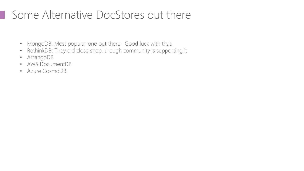#### **Some Alternative DocStores out there**

- MongoDB: Most popular one out there. Good luck with that.
- RethinkDB: They did close shop, though community is supporting it
- ArrangoDB
- AWS DocumentDB
- Azure CosmoDB.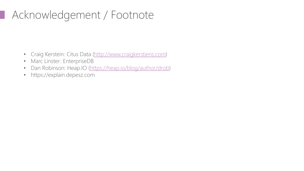### **Acknowledgement / Footnote**

- Craig Kerstein: Citus Data [\(http://www.craigkerstiens.com](http://www.craigkerstiens.com/))
- Marc Linster: EnterpriseDB
- Dan Robinson: Heap.IO [\(https://heap.io/blog/author/drob\)](https://heap.io/blog/author/drob)
- https://explain.depesz.com